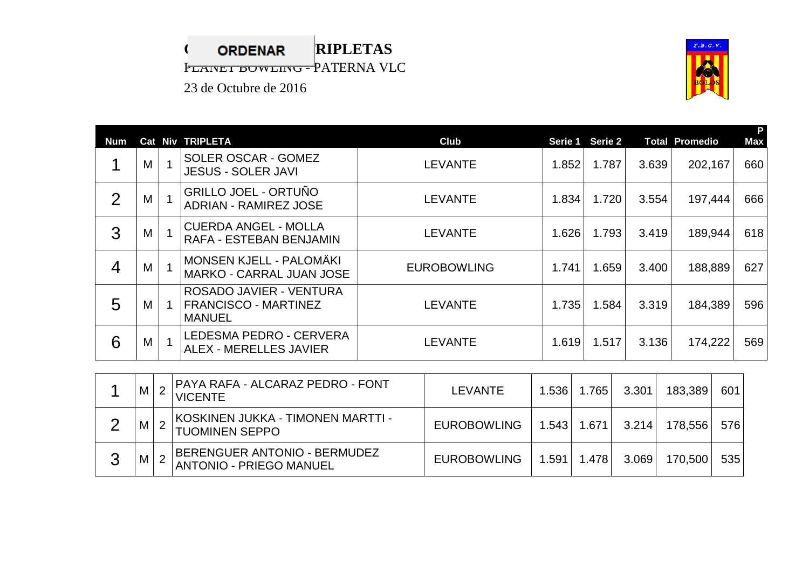**CORDENAR RIPLETAS**  PLANET BOWLING - PATERNA VLC 23 de Octubre de 2016



|                |   |                |                                                                         |                    |       |                 |       |                       | P          |
|----------------|---|----------------|-------------------------------------------------------------------------|--------------------|-------|-----------------|-------|-----------------------|------------|
| <b>Num</b>     |   |                | Cat Niv TRIPLETA                                                        | Club               |       | Serie 1 Serie 2 |       | <b>Total Promedio</b> | <b>Max</b> |
|                | M |                | <b>SOLER OSCAR - GOMEZ</b><br><b>JESUS - SOLER JAVI</b>                 | <b>LEVANTE</b>     | 1.852 | 1.787           | 3.639 | 202,167               | 660        |
| $\overline{2}$ | M |                | <b>GRILLO JOEL - ORTUÑO</b><br><b>ADRIAN - RAMIREZ JOSE</b>             | <b>LEVANTE</b>     | 1.834 | 1.720           | 3.554 | 197,444               | 666        |
| 3              | M |                | <b>CUERDA ANGEL - MOLLA</b><br><b>RAFA - ESTEBAN BENJAMIN</b>           | <b>LEVANTE</b>     | 1.626 | 1.793           | 3.419 | 189,944               | 618        |
| $\overline{4}$ | M | $\overline{1}$ | MONSEN KJELL - PALOMÄKI<br><b>MARKO - CARRAL JUAN JOSE</b>              | <b>EUROBOWLING</b> | 1.741 | 1.659           | 3.400 | 188,889               | 627        |
| 5              | М |                | ROSADO JAVIER - VENTURA<br><b>FRANCISCO - MARTINEZ</b><br><b>MANUEL</b> | <b>LEVANTE</b>     | 1.735 | 1.584           | 3.319 | 184,389               | 596        |
| 6              | M | $\overline{1}$ | LEDESMA PEDRO - CERVERA<br><b>ALEX - MERELLES JAVIER</b>                | <b>LEVANTE</b>     | 1.619 | 1.517           | 3.136 | 174,222               | 569        |

|   | M | PAYA RAFA - ALCARAZ PEDRO - FONT<br><b>VICENTE</b>         | <b>LEVANTE</b>     | 1.536 | 1.765 | 3.301 | 183,389 | 601 |
|---|---|------------------------------------------------------------|--------------------|-------|-------|-------|---------|-----|
|   | M | KOSKINEN JUKKA - TIMONEN MARTTI -<br><b>TUOMINEN SEPPO</b> | <b>EUROBOWLING</b> | 1.543 | 1.671 | 3.214 | 178.556 | 576 |
| ◠ | М | BERENGUER ANTONIO - BERMUDEZ<br>ANTONIO - PRIEGO MANUEL    | <b>EUROBOWLING</b> | 1.591 | 1.478 | 3.069 | 170.500 | 535 |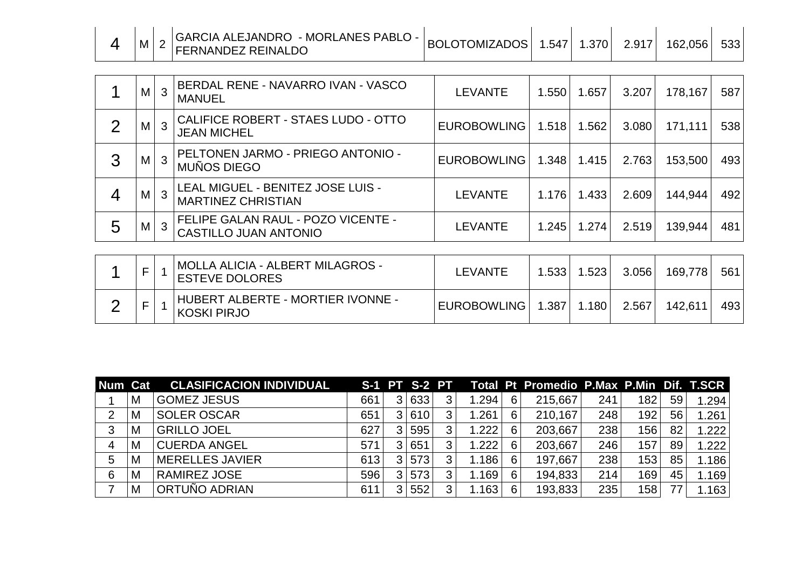|  | <b>M</b> | GARCIA ALEJANDRO - MORLANES PABLO -<br><b>FERNANDEZ REINALDO</b> | <b>BOLOTOMIZADOS</b> |  | 1.547   1.370 | 2.917 | 162.056 | 533 |
|--|----------|------------------------------------------------------------------|----------------------|--|---------------|-------|---------|-----|
|--|----------|------------------------------------------------------------------|----------------------|--|---------------|-------|---------|-----|

|               | М | 3 | BERDAL RENE - NAVARRO IVAN - VASCO<br><b>MANUEL</b>                | <b>LEVANTE</b>     | 1.550 | 1.657 | 3.207 | 178,167 | 587 |
|---------------|---|---|--------------------------------------------------------------------|--------------------|-------|-------|-------|---------|-----|
| $\mathcal{P}$ | М |   | CALIFICE ROBERT - STAES LUDO - OTTO<br><b>JEAN MICHEL</b>          | <b>EUROBOWLING</b> | 1.518 | 1.562 | 3.080 | 171,111 | 538 |
| 3             | M | 3 | PELTONEN JARMO - PRIEGO ANTONIO -<br>MUÑOS DIEGO                   | <b>EUROBOWLING</b> | 1.348 | 1.415 | 2.763 | 153,500 | 493 |
| 4             | M |   | LEAL MIGUEL - BENITEZ JOSE LUIS -<br><b>MARTINEZ CHRISTIAN</b>     | <b>LEVANTE</b>     | 1.176 | 1.433 | 2.609 | 144,944 | 492 |
| 5             | М |   | FELIPE GALAN RAUL - POZO VICENTE -<br><b>CASTILLO JUAN ANTONIO</b> | <b>LEVANTE</b>     | 1.245 | 1.274 | 2.519 | 139,944 | 481 |

|  | <b>IMOLLA ALICIA - ALBERT MILAGROS -</b><br><b>ESTEVE DOLORES</b> | LEVANTE     | 1.533 | .523 | 3.056 | 169,778 | 561 |
|--|-------------------------------------------------------------------|-------------|-------|------|-------|---------|-----|
|  | HUBERT ALBERTE - MORTIER IVONNE -<br><b>KOSKI PIRJO</b>           | EUROBOWLING | 1.387 | .180 | 2.567 | 142,611 | 493 |

| <b>Num Cat</b> |   | <b>CLASIFICACION INDIVIDUAL</b> |     | <b>S-1 PT S-2 PT</b> |   |                   |   | Total Pt Promedio P.Max P.Min Dif. T.SCR |     |                  |    |       |
|----------------|---|---------------------------------|-----|----------------------|---|-------------------|---|------------------------------------------|-----|------------------|----|-------|
|                | M | <b>GOMEZ JESUS</b>              | 661 | 633                  | 3 | .294              | 6 | 215,667                                  | 241 | 182              | 59 | 1.294 |
| 2              | M | <b>SOLER OSCAR</b>              | 651 | 610                  | 3 | .261              | 6 | 210,167                                  | 248 | 192              | 56 | 1.261 |
| 3              | м | <b>GRILLO JOEL</b>              | 627 | 595                  | 3 | .222              | 6 | 203,667                                  | 238 | 156              | 82 | 1.222 |
| $\overline{4}$ | M | <b>CUERDA ANGEL</b>             | 571 | 651                  | 3 | .222              | 6 | 203,667                                  | 246 | 157              | 89 | 1.222 |
| 5              | M | <b>MERELLES JAVIER</b>          | 613 | 573                  | 3 | .186              | 6 | 197,667                                  | 238 | 153 <sub>1</sub> | 85 | 1.186 |
| 6              | M | <b>RAMIREZ JOSE</b>             | 596 | 573                  | 3 | .169 <sup>1</sup> | 6 | 194,833                                  | 214 | 169              | 45 | 1.169 |
|                | M | ORTUÑO ADRIAN                   | 611 | 552                  | 3 | .163              | 6 | 193,833                                  | 235 | 158              | 77 | 1.163 |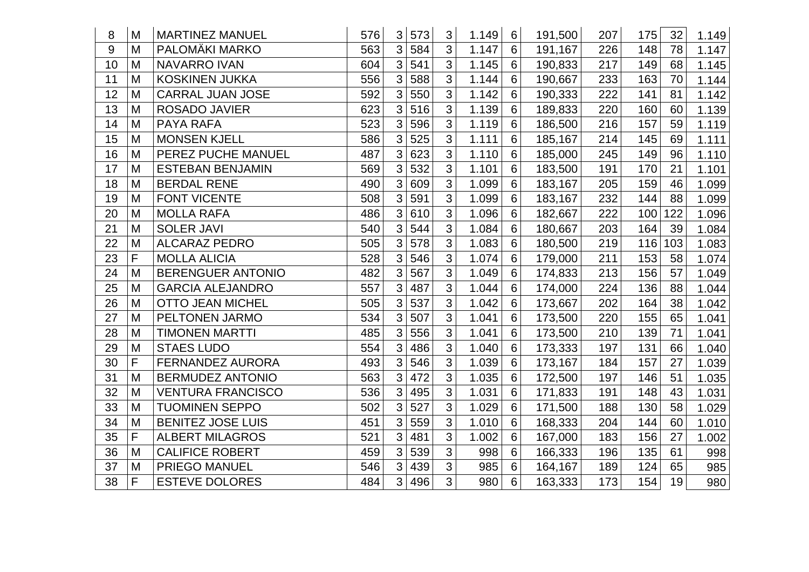| 8  | M | <b>MARTINEZ MANUEL</b>   | 576 | 3 | 573 | 3              | 1.149 | 6 | 191,500 | 207 | 175 | 32  | 1.149 |
|----|---|--------------------------|-----|---|-----|----------------|-------|---|---------|-----|-----|-----|-------|
| 9  | M | PALOMÄKI MARKO           | 563 | 3 | 584 | 3              | 1.147 | 6 | 191,167 | 226 | 148 | 78  | 1.147 |
| 10 | M | <b>NAVARRO IVAN</b>      | 604 | 3 | 541 | 3              | 1.145 | 6 | 190,833 | 217 | 149 | 68  | 1.145 |
| 11 | M | <b>KOSKINEN JUKKA</b>    | 556 | 3 | 588 | 3              | 1.144 | 6 | 190,667 | 233 | 163 | 70  | 1.144 |
| 12 | M | <b>CARRAL JUAN JOSE</b>  | 592 | 3 | 550 | 3              | 1.142 | 6 | 190,333 | 222 | 141 | 81  | 1.142 |
| 13 | M | ROSADO JAVIER            | 623 | 3 | 516 | 3              | 1.139 | 6 | 189,833 | 220 | 160 | 60  | 1.139 |
| 14 | M | PAYA RAFA                | 523 | 3 | 596 | 3              | 1.119 | 6 | 186,500 | 216 | 157 | 59  | 1.119 |
| 15 | M | <b>MONSEN KJELL</b>      | 586 | 3 | 525 | 3              | 1.111 | 6 | 185,167 | 214 | 145 | 69  | 1.111 |
| 16 | M | PEREZ PUCHE MANUEL       | 487 | 3 | 623 | 3              | 1.110 | 6 | 185,000 | 245 | 149 | 96  | 1.110 |
| 17 | M | <b>ESTEBAN BENJAMIN</b>  | 569 | 3 | 532 | 3              | 1.101 | 6 | 183,500 | 191 | 170 | 21  | 1.101 |
| 18 | M | <b>BERDAL RENE</b>       | 490 | 3 | 609 | 3              | 1.099 | 6 | 183,167 | 205 | 159 | 46  | 1.099 |
| 19 | M | <b>FONT VICENTE</b>      | 508 | 3 | 591 | $\overline{3}$ | 1.099 | 6 | 183,167 | 232 | 144 | 88  | 1.099 |
| 20 | M | <b>MOLLA RAFA</b>        | 486 | 3 | 610 | 3              | 1.096 | 6 | 182,667 | 222 | 100 | 122 | 1.096 |
| 21 | M | <b>SOLER JAVI</b>        | 540 | 3 | 544 | 3              | 1.084 | 6 | 180,667 | 203 | 164 | 39  | 1.084 |
| 22 | M | <b>ALCARAZ PEDRO</b>     | 505 | 3 | 578 | 3              | 1.083 | 6 | 180,500 | 219 | 116 | 103 | 1.083 |
| 23 | F | <b>MOLLA ALICIA</b>      | 528 | 3 | 546 | 3              | 1.074 | 6 | 179,000 | 211 | 153 | 58  | 1.074 |
| 24 | M | <b>BERENGUER ANTONIO</b> | 482 | 3 | 567 | 3              | 1.049 | 6 | 174,833 | 213 | 156 | 57  | 1.049 |
| 25 | M | <b>GARCIA ALEJANDRO</b>  | 557 | 3 | 487 | 3              | 1.044 | 6 | 174,000 | 224 | 136 | 88  | 1.044 |
| 26 | M | <b>OTTO JEAN MICHEL</b>  | 505 | 3 | 537 | 3              | 1.042 | 6 | 173,667 | 202 | 164 | 38  | 1.042 |
| 27 | M | PELTONEN JARMO           | 534 | 3 | 507 | 3              | 1.041 | 6 | 173,500 | 220 | 155 | 65  | 1.041 |
| 28 | M | <b>TIMONEN MARTTI</b>    | 485 | 3 | 556 | 3              | 1.041 | 6 | 173,500 | 210 | 139 | 71  | 1.041 |
| 29 | M | <b>STAES LUDO</b>        | 554 | 3 | 486 | 3              | 1.040 | 6 | 173,333 | 197 | 131 | 66  | 1.040 |
| 30 | F | <b>FERNANDEZ AURORA</b>  | 493 | 3 | 546 | 3              | 1.039 | 6 | 173,167 | 184 | 157 | 27  | 1.039 |
| 31 | M | <b>BERMUDEZ ANTONIO</b>  | 563 | 3 | 472 | 3              | 1.035 | 6 | 172,500 | 197 | 146 | 51  | 1.035 |
| 32 | M | <b>VENTURA FRANCISCO</b> | 536 | 3 | 495 | 3              | 1.031 | 6 | 171,833 | 191 | 148 | 43  | 1.031 |
| 33 | M | <b>TUOMINEN SEPPO</b>    | 502 | 3 | 527 | $\overline{3}$ | 1.029 | 6 | 171,500 | 188 | 130 | 58  | 1.029 |
| 34 | M | <b>BENITEZ JOSE LUIS</b> | 451 | 3 | 559 | 3              | 1.010 | 6 | 168,333 | 204 | 144 | 60  | 1.010 |
| 35 | F | <b>ALBERT MILAGROS</b>   | 521 | 3 | 481 | 3              | 1.002 | 6 | 167,000 | 183 | 156 | 27  | 1.002 |
| 36 | M | <b>CALIFICE ROBERT</b>   | 459 | 3 | 539 | 3              | 998   | 6 | 166,333 | 196 | 135 | 61  | 998   |
| 37 | M | <b>PRIEGO MANUEL</b>     | 546 | 3 | 439 | 3              | 985   | 6 | 164,167 | 189 | 124 | 65  | 985   |
| 38 | F | <b>ESTEVE DOLORES</b>    | 484 | 3 | 496 | 3              | 980   | 6 | 163,333 | 173 | 154 | 19  | 980   |